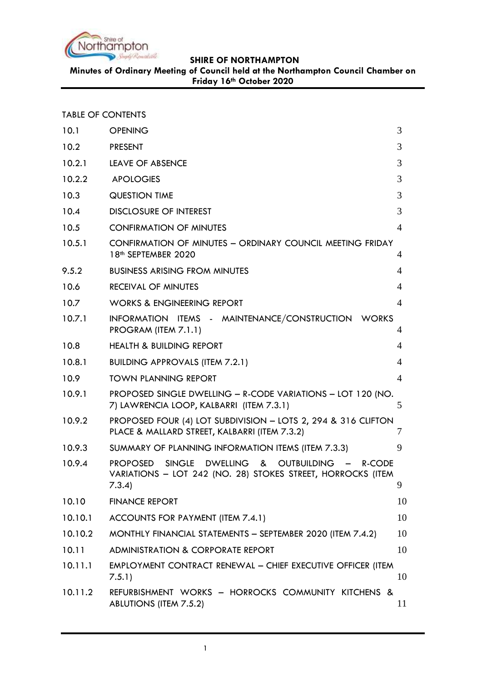

**Minutes of Ordinary Meeting of Council held at the Northampton Council Chamber on Friday 16th October 2020**

|  | <b>TABLE OF CONTENTS</b> |
|--|--------------------------|
|  |                          |

| 10.1    | <b>OPENING</b>                                                                                                                                                              | 3  |
|---------|-----------------------------------------------------------------------------------------------------------------------------------------------------------------------------|----|
| 10.2    | <b>PRESENT</b>                                                                                                                                                              | 3  |
| 10.2.1  | LEAVE OF ABSENCE                                                                                                                                                            | 3  |
| 10.2.2  | <b>APOLOGIES</b>                                                                                                                                                            | 3  |
| 10.3    | <b>QUESTION TIME</b>                                                                                                                                                        | 3  |
| 10.4    | <b>DISCLOSURE OF INTEREST</b>                                                                                                                                               | 3  |
| 10.5    | <b>CONFIRMATION OF MINUTES</b>                                                                                                                                              | 4  |
| 10.5.1  | CONFIRMATION OF MINUTES - ORDINARY COUNCIL MEETING FRIDAY<br>18th SEPTEMBER 2020                                                                                            | 4  |
| 9.5.2   | <b>BUSINESS ARISING FROM MINUTES</b>                                                                                                                                        | 4  |
| 10.6    | <b>RECEIVAL OF MINUTES</b>                                                                                                                                                  | 4  |
| 10.7    | <b>WORKS &amp; ENGINEERING REPORT</b>                                                                                                                                       | 4  |
| 10.7.1  | INFORMATION ITEMS - MAINTENANCE/CONSTRUCTION WORKS<br>PROGRAM (ITEM 7.1.1)                                                                                                  | 4  |
| 10.8    | <b>HEALTH &amp; BUILDING REPORT</b>                                                                                                                                         | 4  |
| 10.8.1  | <b>BUILDING APPROVALS (ITEM 7.2.1)</b>                                                                                                                                      | 4  |
| 10.9    | <b>TOWN PLANNING REPORT</b>                                                                                                                                                 | 4  |
| 10.9.1  | PROPOSED SINGLE DWELLING - R-CODE VARIATIONS - LOT 120 (NO.<br>7) LAWRENCIA LOOP, KALBARRI (ITEM 7.3.1)                                                                     | 5  |
| 10.9.2  | PROPOSED FOUR (4) LOT SUBDIVISION - LOTS 2, 294 & 316 CLIFTON<br>PLACE & MALLARD STREET, KALBARRI (ITEM 7.3.2)                                                              | 7  |
| 10.9.3  | SUMMARY OF PLANNING INFORMATION ITEMS (ITEM 7.3.3)                                                                                                                          | 9  |
| 10.9.4  | <b>SINGLE</b><br><b>DWELLING</b><br>&<br><b>OUTBUILDING</b><br><b>PROPOSED</b><br>R-CODE<br>$\sim$<br>VARIATIONS - LOT 242 (NO. 28) STOKES STREET, HORROCKS (ITEM<br>7.3.4) | 9  |
| 10.10   | <b>FINANCE REPORT</b>                                                                                                                                                       | 10 |
| 10.10.1 | ACCOUNTS FOR PAYMENT (ITEM 7.4.1)                                                                                                                                           | 10 |
| 10.10.2 | MONTHLY FINANCIAL STATEMENTS - SEPTEMBER 2020 (ITEM 7.4.2)                                                                                                                  | 10 |
| 10.11   | <b>ADMINISTRATION &amp; CORPORATE REPORT</b>                                                                                                                                | 10 |
| 10.11.1 | <b>EMPLOYMENT CONTRACT RENEWAL - CHIEF EXECUTIVE OFFICER (ITEM</b><br>7.5.1)                                                                                                | 10 |
| 10.11.2 | REFURBISHMENT WORKS - HORROCKS COMMUNITY KITCHENS &<br><b>ABLUTIONS (ITEM 7.5.2)</b>                                                                                        | 11 |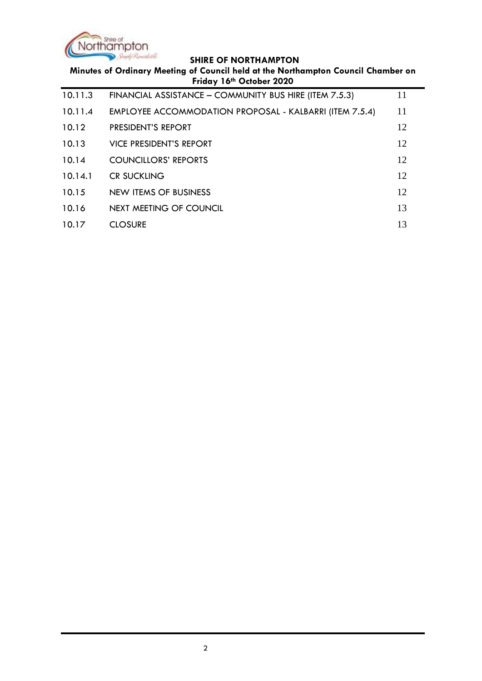

| Minutes of Ordinary Meeting of Council held at the Northampton Council Chamber on<br>Friday 16th October 2020 |                                                                |    |  |
|---------------------------------------------------------------------------------------------------------------|----------------------------------------------------------------|----|--|
| 10.11.3                                                                                                       | FINANCIAL ASSISTANCE - COMMUNITY BUS HIRE (ITEM 7.5.3)         | 11 |  |
| 10.11.4                                                                                                       | <b>EMPLOYEE ACCOMMODATION PROPOSAL - KALBARRI (ITEM 7.5.4)</b> | 11 |  |
| 10.12                                                                                                         | <b>PRESIDENT'S REPORT</b>                                      | 12 |  |
| 10.13                                                                                                         | <b>VICE PRESIDENT'S REPORT</b>                                 | 12 |  |
| 10.14                                                                                                         | <b>COUNCILLORS' REPORTS</b>                                    | 12 |  |
| 10.14.1                                                                                                       | <b>CR SUCKLING</b>                                             | 12 |  |
| 10.15                                                                                                         | NEW ITEMS OF BUSINESS                                          | 12 |  |
| 10.16                                                                                                         | NEXT MEETING OF COUNCIL                                        | 13 |  |
| 10.17                                                                                                         | <b>CLOSURE</b>                                                 | 13 |  |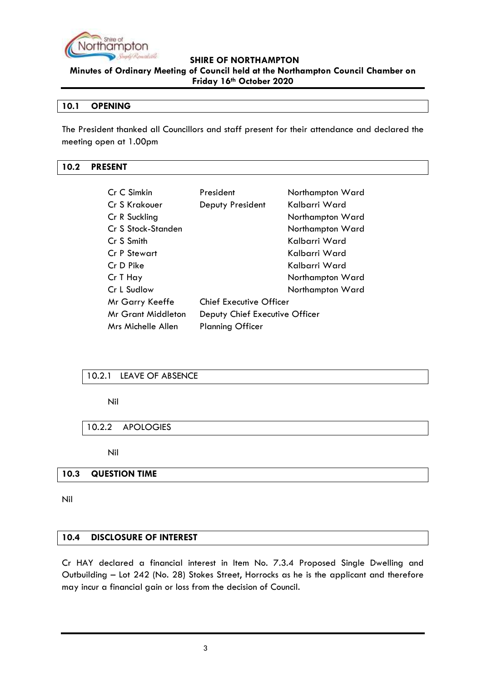

**Minutes of Ordinary Meeting of Council held at the Northampton Council Chamber on Friday 16th October 2020**

#### <span id="page-2-0"></span>**10.1 OPENING**

The President thanked all Councillors and staff present for their attendance and declared the meeting open at 1.00pm

## <span id="page-2-1"></span>**10.2 PRESENT**

| Cr C Simkin        | President                      | Northampton Ward |
|--------------------|--------------------------------|------------------|
| Cr S Krakouer      | Deputy President               | Kalbarri Ward    |
| Cr R Suckling      |                                | Northampton Ward |
| Cr S Stock-Standen |                                | Northampton Ward |
| Cr S Smith         |                                | Kalbarri Ward    |
| Cr P Stewart       |                                | Kalbarri Ward    |
| Cr D Pike          |                                | Kalbarri Ward    |
| Cr T Hay           |                                | Northampton Ward |
| Cr L Sudlow        |                                | Northampton Ward |
| Mr Garry Keeffe    | <b>Chief Executive Officer</b> |                  |
| Mr Grant Middleton | Deputy Chief Executive Officer |                  |
| Mrs Michelle Allen | <b>Planning Officer</b>        |                  |

## <span id="page-2-2"></span>10.2.1 LEAVE OF ABSENCE

Nil

## <span id="page-2-3"></span>10.2.2 APOLOGIES

Nil

## <span id="page-2-4"></span>**10.3 QUESTION TIME**

Nil

#### <span id="page-2-5"></span>**10.4 DISCLOSURE OF INTEREST**

Cr HAY declared a financial interest in Item No. 7.3.4 Proposed Single Dwelling and Outbuilding – Lot 242 (No. 28) Stokes Street, Horrocks as he is the applicant and therefore may incur a financial gain or loss from the decision of Council.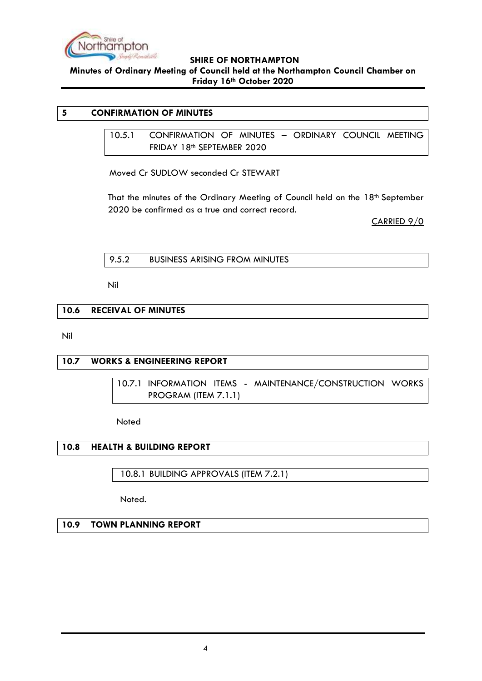

**Minutes of Ordinary Meeting of Council held at the Northampton Council Chamber on Friday 16th October 2020**

# <span id="page-3-1"></span><span id="page-3-0"></span>**5 CONFIRMATION OF MINUTES**

10.5.1 CONFIRMATION OF MINUTES – ORDINARY COUNCIL MEETING FRIDAY 18th SEPTEMBER 2020

Moved Cr SUDLOW seconded Cr STEWART

That the minutes of the Ordinary Meeting of Council held on the 18th September 2020 be confirmed as a true and correct record.

CARRIED 9/0

<span id="page-3-2"></span>

Nil

## <span id="page-3-3"></span>**10.6 RECEIVAL OF MINUTES**

Nil

## <span id="page-3-5"></span><span id="page-3-4"></span>**10.7 WORKS & ENGINEERING REPORT**

10.7.1 INFORMATION ITEMS - MAINTENANCE/CONSTRUCTION WORKS PROGRAM (ITEM 7.1.1)

Noted

## <span id="page-3-6"></span>**10.8 HEALTH & BUILDING REPORT**

<span id="page-3-7"></span>10.8.1 BUILDING APPROVALS (ITEM 7.2.1)

Noted.

#### <span id="page-3-8"></span>**10.9 TOWN PLANNING REPORT**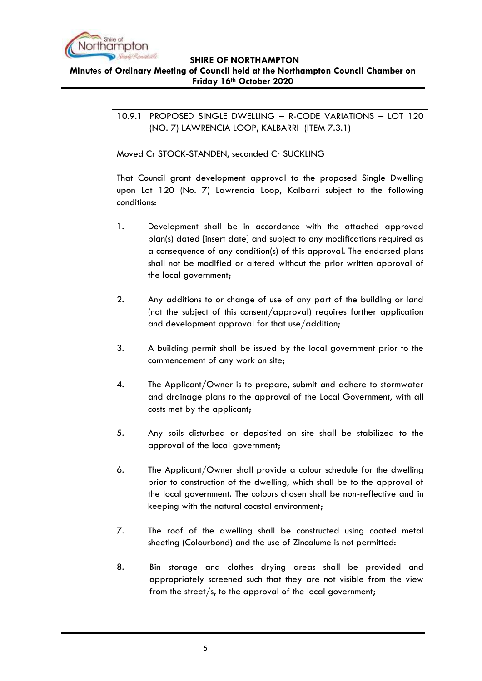

<span id="page-4-0"></span>**SHIRE OF NORTHAMPTON Minutes of Ordinary Meeting of Council held at the Northampton Council Chamber on Friday 16th October 2020**

> 10.9.1 PROPOSED SINGLE DWELLING – R-CODE VARIATIONS – LOT 120 (NO. 7) LAWRENCIA LOOP, KALBARRI (ITEM 7.3.1)

Moved Cr STOCK-STANDEN, seconded Cr SUCKLING

That Council grant development approval to the proposed Single Dwelling upon Lot 120 (No. 7) Lawrencia Loop, Kalbarri subject to the following conditions:

- 1. Development shall be in accordance with the attached approved plan(s) dated [insert date] and subject to any modifications required as a consequence of any condition(s) of this approval. The endorsed plans shall not be modified or altered without the prior written approval of the local government;
- 2. Any additions to or change of use of any part of the building or land (not the subject of this consent/approval) requires further application and development approval for that use/addition;
- 3. A building permit shall be issued by the local government prior to the commencement of any work on site;
- 4. The Applicant/Owner is to prepare, submit and adhere to stormwater and drainage plans to the approval of the Local Government, with all costs met by the applicant;
- 5. Any soils disturbed or deposited on site shall be stabilized to the approval of the local government;
- 6. The Applicant/Owner shall provide a colour schedule for the dwelling prior to construction of the dwelling, which shall be to the approval of the local government. The colours chosen shall be non-reflective and in keeping with the natural coastal environment;
- 7. The roof of the dwelling shall be constructed using coated metal sheeting (Colourbond) and the use of Zincalume is not permitted:
- 8. Bin storage and clothes drying areas shall be provided and appropriately screened such that they are not visible from the view from the street/s, to the approval of the local government;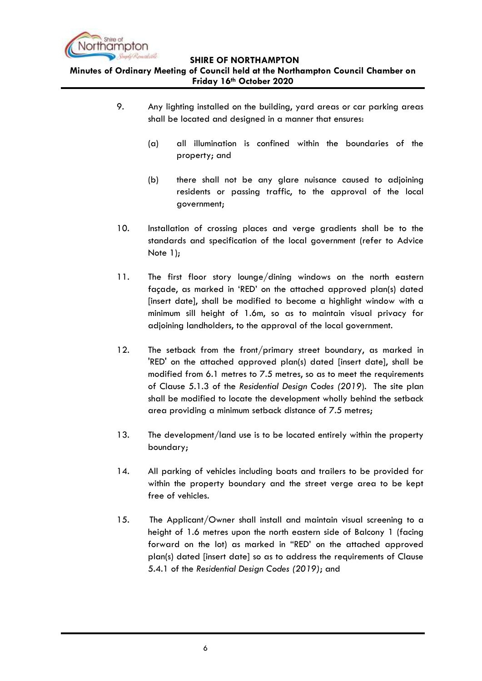

**Minutes of Ordinary Meeting of Council held at the Northampton Council Chamber on Friday 16th October 2020**

- 9. Any lighting installed on the building, yard areas or car parking areas shall be located and designed in a manner that ensures:
	- (a) all illumination is confined within the boundaries of the property; and
	- (b) there shall not be any glare nuisance caused to adjoining residents or passing traffic, to the approval of the local government;
- 10. Installation of crossing places and verge gradients shall be to the standards and specification of the local government (refer to Advice Note 1);
- 11. The first floor story lounge/dining windows on the north eastern façade, as marked in 'RED' on the attached approved plan(s) dated [insert date], shall be modified to become a highlight window with a minimum sill height of 1.6m, so as to maintain visual privacy for adjoining landholders, to the approval of the local government.
- 12. The setback from the front/primary street boundary, as marked in 'RED' on the attached approved plan(s) dated [insert date], shall be modified from 6.1 metres to 7.5 metres, so as to meet the requirements of Clause 5.1.3 of the *Residential Design Codes (2019*). The site plan shall be modified to locate the development wholly behind the setback area providing a minimum setback distance of 7.5 metres;
- 13. The development/land use is to be located entirely within the property boundary;
- 14. All parking of vehicles including boats and trailers to be provided for within the property boundary and the street verge area to be kept free of vehicles.
- 15. The Applicant/Owner shall install and maintain visual screening to a height of 1.6 metres upon the north eastern side of Balcony 1 (facing forward on the lot) as marked in "RED' on the attached approved plan(s) dated [insert date] so as to address the requirements of Clause 5.4.1 of the *Residential Design Codes (2019)*; and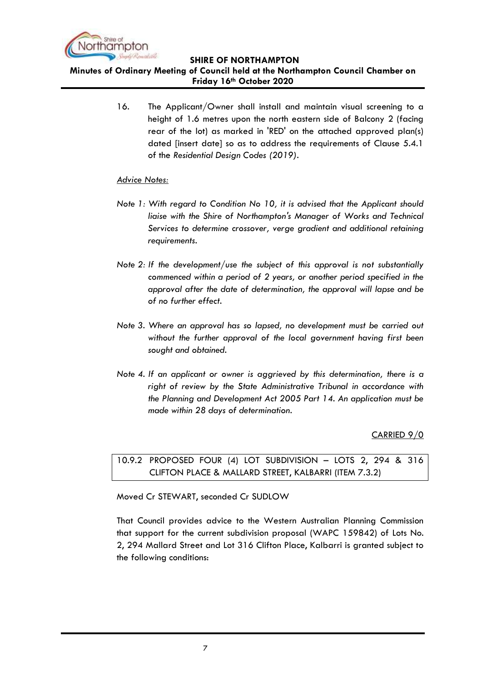

**Minutes of Ordinary Meeting of Council held at the Northampton Council Chamber on Friday 16th October 2020**

> 16. The Applicant/Owner shall install and maintain visual screening to a height of 1.6 metres upon the north eastern side of Balcony 2 (facing rear of the lot) as marked in 'RED' on the attached approved plan(s) dated [insert date] so as to address the requirements of Clause 5.4.1 of the *Residential Design Codes (2019)*.

## *Advice Notes:*

- *Note 1: With regard to Condition No 10, it is advised that the Applicant should liaise with the Shire of Northampton's Manager of Works and Technical Services to determine crossover, verge gradient and additional retaining requirements.*
- *Note 2: If the development/use the subject of this approval is not substantially commenced within a period of 2 years, or another period specified in the approval after the date of determination, the approval will lapse and be of no further effect.*
- *Note 3. Where an approval has so lapsed, no development must be carried out without the further approval of the local government having first been sought and obtained.*
- *Note 4. If an applicant or owner is aggrieved by this determination, there is a right of review by the State Administrative Tribunal in accordance with the Planning and Development Act 2005 Part 14. An application must be made within 28 days of determination.*

CARRIED 9/0

<span id="page-6-0"></span>10.9.2 PROPOSED FOUR (4) LOT SUBDIVISION – LOTS 2, 294 & 316 CLIFTON PLACE & MALLARD STREET, KALBARRI (ITEM 7.3.2)

Moved Cr STEWART, seconded Cr SUDLOW

That Council provides advice to the Western Australian Planning Commission that support for the current subdivision proposal (WAPC 159842) of Lots No. 2, 294 Mallard Street and Lot 316 Clifton Place, Kalbarri is granted subject to the following conditions: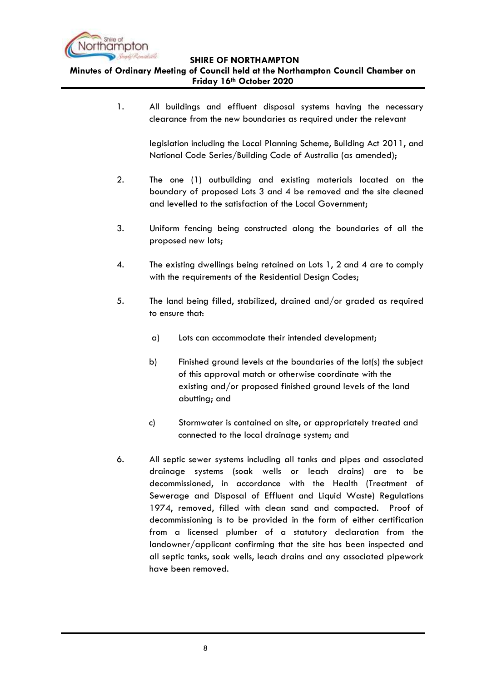

**Minutes of Ordinary Meeting of Council held at the Northampton Council Chamber on Friday 16th October 2020**

> 1. All buildings and effluent disposal systems having the necessary clearance from the new boundaries as required under the relevant

> > legislation including the Local Planning Scheme, Building Act 2011, and National Code Series/Building Code of Australia (as amended);

- 2. The one (1) outbuilding and existing materials located on the boundary of proposed Lots 3 and 4 be removed and the site cleaned and levelled to the satisfaction of the Local Government;
- 3. Uniform fencing being constructed along the boundaries of all the proposed new lots;
- 4. The existing dwellings being retained on Lots 1, 2 and 4 are to comply with the requirements of the Residential Design Codes;
- 5. The land being filled, stabilized, drained and/or graded as required to ensure that:
	- a) Lots can accommodate their intended development;
	- b) Finished ground levels at the boundaries of the lot(s) the subject of this approval match or otherwise coordinate with the existing and/or proposed finished ground levels of the land abutting; and
	- c) Stormwater is contained on site, or appropriately treated and connected to the local drainage system; and
- 6. All septic sewer systems including all tanks and pipes and associated drainage systems (soak wells or leach drains) are to be decommissioned, in accordance with the Health (Treatment of Sewerage and Disposal of Effluent and Liquid Waste) Regulations 1974, removed, filled with clean sand and compacted. Proof of decommissioning is to be provided in the form of either certification from a licensed plumber of a statutory declaration from the landowner/applicant confirming that the site has been inspected and all septic tanks, soak wells, leach drains and any associated pipework have been removed.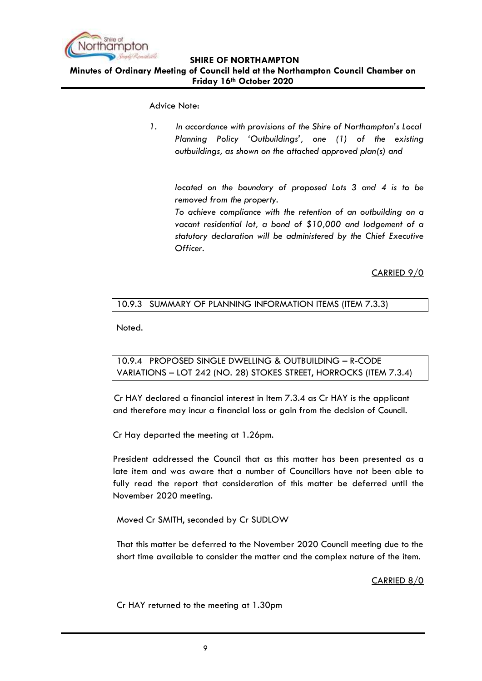

**Minutes of Ordinary Meeting of Council held at the Northampton Council Chamber on Friday 16th October 2020**

Advice Note:

*1. In accordance with provisions of the Shire of Northampton's Local Planning Policy 'Outbuildings', one (1) of the existing outbuildings, as shown on the attached approved plan(s) and*

*located on the boundary of proposed Lots 3 and 4 is to be removed from the property.*

*To achieve compliance with the retention of an outbuilding on a vacant residential lot, a bond of \$10,000 and lodgement of a statutory declaration will be administered by the Chief Executive Officer.* 

CARRIED 9/0

# <span id="page-8-0"></span>10.9.3 SUMMARY OF PLANNING INFORMATION ITEMS (ITEM 7.3.3)

Noted.

<span id="page-8-1"></span>10.9.4 PROPOSED SINGLE DWELLING & OUTBUILDING – R-CODE VARIATIONS – LOT 242 (NO. 28) STOKES STREET, HORROCKS (ITEM 7.3.4)

Cr HAY declared a financial interest in Item 7.3.4 as Cr HAY is the applicant and therefore may incur a financial loss or gain from the decision of Council.

Cr Hay departed the meeting at 1.26pm.

President addressed the Council that as this matter has been presented as a late item and was aware that a number of Councillors have not been able to fully read the report that consideration of this matter be deferred until the November 2020 meeting.

Moved Cr SMITH, seconded by Cr SUDLOW

That this matter be deferred to the November 2020 Council meeting due to the short time available to consider the matter and the complex nature of the item.

CARRIED 8/0

Cr HAY returned to the meeting at 1.30pm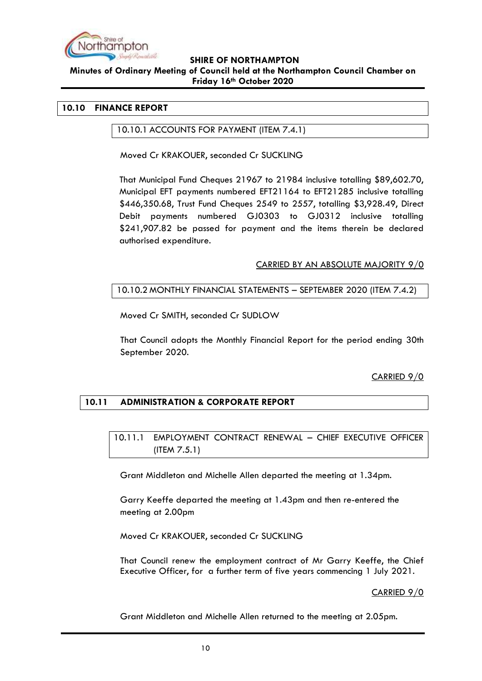

#### **Minutes of Ordinary Meeting of Council held at the Northampton Council Chamber on Friday 16th October 2020**

#### <span id="page-9-1"></span><span id="page-9-0"></span>**10.10 FINANCE REPORT**

#### 10.10.1 ACCOUNTS FOR PAYMENT (ITEM 7.4.1)

Moved Cr KRAKOUER, seconded Cr SUCKLING

That Municipal Fund Cheques 21967 to 21984 inclusive totalling \$89,602.70, Municipal EFT payments numbered EFT21164 to EFT21285 inclusive totalling \$446,350.68, Trust Fund Cheques 2549 to 2557, totalling \$3,928.49, Direct Debit payments numbered GJ0303 to GJ0312 inclusive totalling \$241,907.82 be passed for payment and the items therein be declared authorised expenditure.

#### CARRIED BY AN ABSOLUTE MAJORITY 9/0

## <span id="page-9-2"></span>10.10.2 MONTHLY FINANCIAL STATEMENTS – SEPTEMBER 2020 (ITEM 7.4.2)

Moved Cr SMITH, seconded Cr SUDLOW

That Council adopts the Monthly Financial Report for the period ending 30th September 2020.

## CARRIED 9/0

## <span id="page-9-4"></span><span id="page-9-3"></span>**10.11 ADMINISTRATION & CORPORATE REPORT**

10.11.1 EMPLOYMENT CONTRACT RENEWAL – CHIEF EXECUTIVE OFFICER (ITEM 7.5.1)

Grant Middleton and Michelle Allen departed the meeting at 1.34pm.

Garry Keeffe departed the meeting at 1.43pm and then re-entered the meeting at 2.00pm

Moved Cr KRAKOUER, seconded Cr SUCKLING

That Council renew the employment contract of Mr Garry Keeffe, the Chief Executive Officer, for a further term of five years commencing 1 July 2021.

CARRIED 9/0

Grant Middleton and Michelle Allen returned to the meeting at 2.05pm.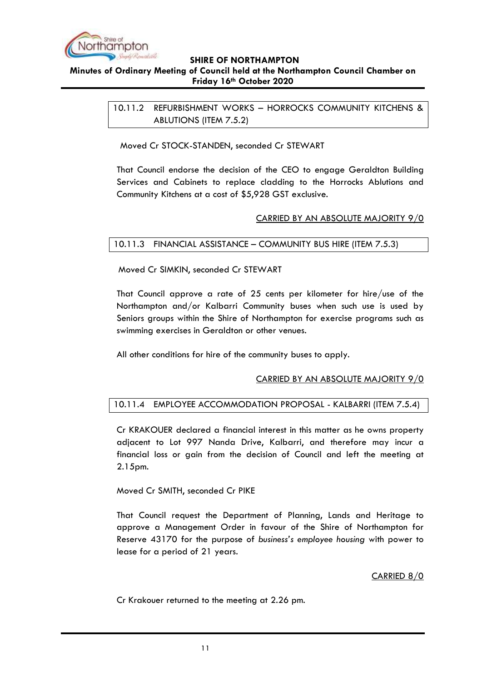

# <span id="page-10-0"></span>**SHIRE OF NORTHAMPTON Minutes of Ordinary Meeting of Council held at the Northampton Council Chamber on Friday 16th October 2020**

10.11.2 REFURBISHMENT WORKS – HORROCKS COMMUNITY KITCHENS & ABLUTIONS (ITEM 7.5.2)

Moved Cr STOCK-STANDEN, seconded Cr STEWART

That Council endorse the decision of the CEO to engage Geraldton Building Services and Cabinets to replace cladding to the Horrocks Ablutions and Community Kitchens at a cost of \$5,928 GST exclusive.

#### CARRIED BY AN ABSOLUTE MAJORITY 9/0

## <span id="page-10-1"></span>10.11.3 FINANCIAL ASSISTANCE – COMMUNITY BUS HIRE (ITEM 7.5.3)

Moved Cr SIMKIN, seconded Cr STEWART

That Council approve a rate of 25 cents per kilometer for hire/use of the Northampton and/or Kalbarri Community buses when such use is used by Seniors groups within the Shire of Northampton for exercise programs such as swimming exercises in Geraldton or other venues.

All other conditions for hire of the community buses to apply.

## CARRIED BY AN ABSOLUTE MAJORITY 9/0

## <span id="page-10-2"></span>10.11.4 EMPLOYEE ACCOMMODATION PROPOSAL - KALBARRI (ITEM 7.5.4)

Cr KRAKOUER declared a financial interest in this matter as he owns property adjacent to Lot 997 Nanda Drive, Kalbarri, and therefore may incur a financial loss or gain from the decision of Council and left the meeting at 2.15pm.

#### Moved Cr SMITH, seconded Cr PIKE

That Council request the Department of Planning, Lands and Heritage to approve a Management Order in favour of the Shire of Northampton for Reserve 43170 for the purpose of *business's employee housing* with power to lease for a period of 21 years.

## CARRIED 8/0

Cr Krakouer returned to the meeting at 2.26 pm.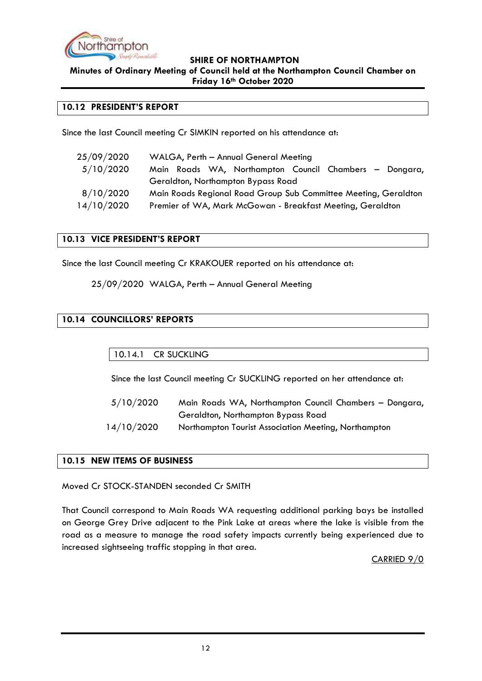

**Minutes of Ordinary Meeting of Council held at the Northampton Council Chamber on Friday 16th October 2020**

#### <span id="page-11-0"></span>**10.12 PRESIDENT'S REPORT**

Since the last Council meeting Cr SIMKIN reported on his attendance at:

| 25/09/2020 | WALGA, Perth - Annual General Meeting                           |
|------------|-----------------------------------------------------------------|
| 5/10/2020  | Main Roads WA, Northampton Council Chambers - Dongara,          |
|            | Geraldton, Northampton Bypass Road                              |
| 8/10/2020  | Main Roads Regional Road Group Sub Committee Meeting, Geraldton |
| 14/10/2020 | Premier of WA, Mark McGowan - Breakfast Meeting, Geraldton      |

## <span id="page-11-1"></span>**10.13 VICE PRESIDENT'S REPORT**

Since the last Council meeting Cr KRAKOUER reported on his attendance at:

25/09/2020 WALGA, Perth – Annual General Meeting

# <span id="page-11-3"></span><span id="page-11-2"></span>**10.14 COUNCILLORS' REPORTS**

10.14.1 CR SUCKLING

Since the last Council meeting Cr SUCKLING reported on her attendance at:

 5/10/2020 Main Roads WA, Northampton Council Chambers – Dongara, Geraldton, Northampton Bypass Road 14/10/2020 Northampton Tourist Association Meeting, Northampton

## <span id="page-11-4"></span>**10.15 NEW ITEMS OF BUSINESS**

Moved Cr STOCK-STANDEN seconded Cr SMITH

That Council correspond to Main Roads WA requesting additional parking bays be installed on George Grey Drive adjacent to the Pink Lake at areas where the lake is visible from the road as a measure to manage the road safety impacts currently being experienced due to increased sightseeing traffic stopping in that area.

CARRIED 9/0